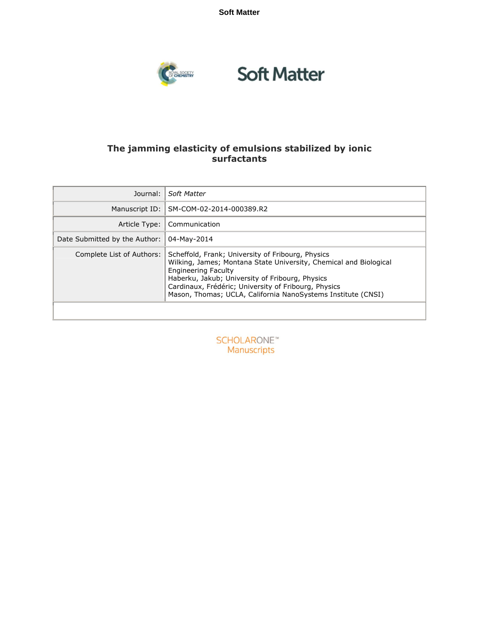**Soft Matter**



## **Soft Matter**

## **The jamming elasticity of emulsions stabilized by ionic surfactants**

| Journal:                      | Soft Matter                                                                                                                                                                                                                                                                                                              |
|-------------------------------|--------------------------------------------------------------------------------------------------------------------------------------------------------------------------------------------------------------------------------------------------------------------------------------------------------------------------|
| Manuscript ID:                | SM-COM-02-2014-000389.R2                                                                                                                                                                                                                                                                                                 |
| Article Type:                 | Communication                                                                                                                                                                                                                                                                                                            |
| Date Submitted by the Author: | 04-May-2014                                                                                                                                                                                                                                                                                                              |
| Complete List of Authors:     | Scheffold, Frank; University of Fribourg, Physics<br>Wilking, James; Montana State University, Chemical and Biological<br>Engineering Faculty<br>Haberku, Jakub; University of Fribourg, Physics<br>Cardinaux, Frédéric; University of Fribourg, Physics<br>Mason, Thomas; UCLA, California NanoSystems Institute (CNSI) |

**SCHOLARONE™** Manuscripts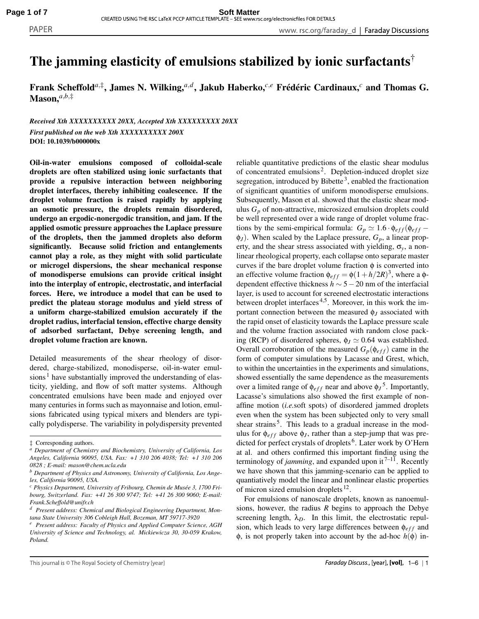**PAPER** 

Frank Scheffold<sup>a,‡</sup>, James N. Wilking,<sup>a,d</sup>, Jakub Haberko,<sup>c,e</sup> Frédéric Cardinaux,<sup>c</sup> and Thomas G.  $Mason<sub>n</sub><sup>a,b</sup>$ 

*Received Xth XXXXXXXXXX 20XX, Accepted Xth XXXXXXXXX 20XX First published on the web Xth XXXXXXXXXX 200X* DOI: 10.1039/b0000000x

Oil-in-water emulsions composed of colloidal-scale droplets are often stabilized using ionic surfactants that provide a repulsive interaction between neighboring droplet interfaces, thereby inhibiting coalescence. If the droplet volume fraction is raised rapidly by applying an osmotic pressure, the droplets remain disordered, undergo an ergodic-nonergodic transition, and jam. If the applied osmotic pressure approaches the Laplace pressure of the droplets, then the jammed droplets also deform significantly. Because solid friction and entanglements cannot play a role, as they might with solid particulate or microgel dispersions, the shear mechanical response of monodisperse emulsions can provide critical insight into the interplay of entropic, electrostatic, and interfacial forces. Here, we introduce a model that can be used to predict the plateau storage modulus and yield stress of a uniform charge-stabilized emulsion accurately if the droplet radius, interfacial tension, effective charge density of adsorbed surfactant, Debye screening length, and droplet volume fraction are known.

Detailed measurements of the shear rheology of disordered, charge-stabilized, monodisperse, oil-in-water emulsions<sup>1</sup> have substantially improved the understanding of elasticity, yielding, and flow of soft matter systems. Although concentrated emulsions have been made and enjoyed over many centuries in forms such as mayonnaise and lotion, emulsions fabricated using typical mixers and blenders are typically polydisperse. The variability in polydispersity prevented reliable quantitative predictions of the elastic shear modulus of concentrated emulsions<sup>2</sup>. Depletion-induced droplet size segregation, introduced by Bibette<sup>3</sup>, enabled the fractionation of significant quantities of uniform monodisperse emulsions. Subsequently, Mason et al. showed that the elastic shear modulus *G<sup>p</sup>* of non-attractive, microsized emulsion droplets could be well represented over a wide range of droplet volume fractions by the semi-empirical formula:  $G_p \simeq 1.6 \cdot \phi_{eff}(\phi_{eff}$ φ*<sup>J</sup>* ). When scaled by the Laplace pressure, *Gp*, a linear property, and the shear stress associated with yielding, σ*y*, a nonlinear rheological property, each collapse onto separate master curves if the bare droplet volume fraction  $\phi$  is converted into an effective volume fraction  $\phi_{eff} = \phi (1 + h/2R)^3$ , where a  $\phi$ dependent effective thickness *h* ∼ 5−20 nm of the interfacial layer, is used to account for screened electrostatic interactions between droplet interfaces 4,5. Moreover, in this work the important connection between the measured  $φ$ *J* associated with the rapid onset of elasticity towards the Laplace pressure scale and the volume fraction associated with random close packing (RCP) of disordered spheres,  $\phi$ <sub>*J*</sub>  $\simeq$  0.64 was established. Overall corroboration of the measured  $G_p(\phi_{eff})$  came in the form of computer simulations by Lacasse and Grest, which, to within the uncertainties in the experiments and simulations, showed essentially the same dependence as the measurements over a limited range of  $\phi_{eff}$  near and above  $\phi_J^5$ . Importantly, Lacasse's simulations also showed the first example of nonaffine motion (*i.e.*soft spots) of disordered jammed droplets even when the system has been subjected only to very small shear strains<sup>5</sup>. This leads to a gradual increase in the modulus for  $\phi_{eff}$  above  $\phi_J$ , rather than a step-jump that was predicted for perfect crystals of droplets<sup>6</sup>. Later work by O'Hern at al. and others confirmed this important finding using the terminology of *jamming*, and expanded upon it  $7-11$ . Recently we have shown that this jamming-scenario can be applied to quantiatively model the linear and nonlinear elastic properties of micron sized emulsion droplets<sup>12</sup>.

For emulsions of nanoscale droplets, known as nanoemulsions, however, the radius *R* begins to approach the Debye screening length,  $\lambda_D$ . In this limit, the electrostatic repulsion, which leads to very large differences between  $\phi_{eff}$  and  $\phi$ , is not properly taken into account by the ad-hoc  $h(\phi)$  in-

This journal is © The Royal Society of Chemistry [year]

<sup>‡</sup> Corresponding authors.

*<sup>a</sup> Department of Chemistry and Biochemistry, University of California, Los Angeles, California 90095, USA. Fax: +1 310 206 4038; Tel: +1 310 206 0828 ; E-mail: mason@chem.ucla.edu*

*<sup>b</sup> Department of Physics and Astronomy, University of California, Los Angeles, California 90095, USA.*

*<sup>c</sup> Physics Department, University of Fribourg, Chemin de Musee 3, 1700 Fri- ´ bourg, Switzerland. Fax: +41 26 300 9747; Tel: +41 26 300 9060; E-mail: Frank.Scheffold@unifr.ch*

*<sup>d</sup> Present address: Chemical and Biological Engineering Department, Montana State University 306 Cobleigh Hall, Bozeman, MT 59717-3920*

*<sup>e</sup> Present address: Faculty of Physics and Applied Computer Science, AGH University of Science and Technology, al. Mickiewicza 30, 30-059 Krakow, Poland.*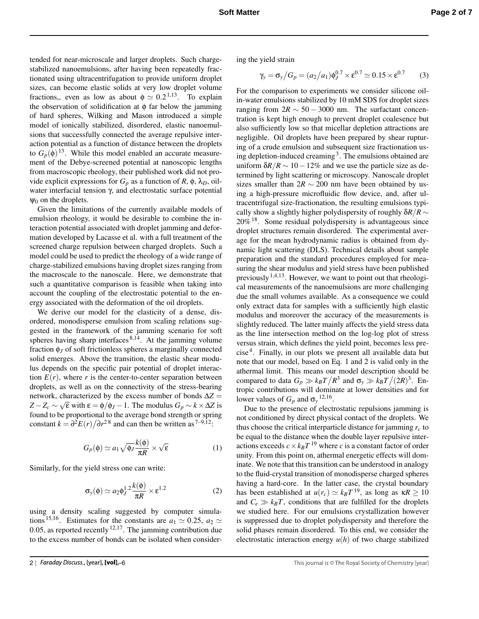tended for near-microscale and larger droplets. Such chargestabilized nanoemulsions, after having been repeatedly fractionated using ultracentrifugation to provide uniform droplet sizes, can become elastic solids at very low droplet volume fractions,, even as low as about  $\phi \simeq 0.2^{1,13}$ . To explain the observation of solidification at  $\phi$  far below the jamming of hard spheres, Wilking and Mason introduced a simple model of ionically stabilized, disordered, elastic nanoemulsions that successfully connected the average repulsive interaction potential as a function of distance between the droplets to  $G_p(\phi)^{13}$ . While this model enabled an accurate measurement of the Debye-screened potential at nanoscopic lengths from macroscopic rheology, their published work did not provide explicit expressions for  $G_p$  as a function of  $R$ ,  $\phi$ ,  $\lambda_D$ , oilwater interfacial tension γ, and electrostatic surface potential  $\Psi_0$  on the droplets.

Given the limitations of the currently available models of emulsion rheology, it would be desirable to combine the interaction potential associated with droplet jamming and deformation developed by Lacasse et al. with a full treatment of the screened charge repulsion between charged droplets. Such a model could be used to predict the rheology of a wide range of charge-stabilized emulsions having droplet sizes ranging from the macroscale to the nanoscale. Here, we demonstrate that such a quantitative comparison is feasible when taking into account the coupling of the electrostatic potential to the energy associated with the deformation of the oil droplets.

We derive our model for the elasticity of a dense, disordered, monodisperse emulsion from scaling relations suggested in the framework of the jamming scenario for soft spheres having sharp interfaces  $8,14$ . At the jamming volume fraction φ*<sup>J</sup>* of soft frictionless spheres a marginally connected solid emerges. Above the transition, the elastic shear modulus depends on the specific pair potential of droplet interaction  $E(r)$ , where *r* is the center-to-center separation between droplets, as well as on the connectivity of the stress-bearing network, characterized by the excess number of bonds Δ*Z* = *Z* − *Z*<sup>*c*</sup>  $\sim \sqrt{\epsilon}$  with  $\epsilon = \phi/\phi$ *J* − 1. The modulus *G*<sub>*p*</sub> ∼ *k* × ∆*Z* is found to be proportional to the average bond strength or spring constant  $k = \frac{\partial^2 E(r)}{\partial r^2}$  and can then be written as <sup>7–9,12</sup>:

$$
G_p(\phi) \simeq a_1 \sqrt{\phi_J} \frac{k(\phi)}{\pi R} \times \sqrt{\epsilon}
$$
 (1)

Similarly, for the yield stress one can write:

$$
\sigma_y(\phi) \simeq a_2 \phi_J^{1.2} \frac{k(\phi)}{\pi R} \times \varepsilon^{1.2}
$$
 (2)

using a density scaling suggested by computer simulations <sup>15,16</sup>. Estimates for the constants are  $a_1 \simeq 0.25$ ,  $a_2 \simeq$ 0.05, as reported recently  $12,17$ . The jamming contribution due to the excess number of bonds can be isolated when considering the yield strain

$$
\gamma_y = \sigma_y / G_p = (a_2/a_1)\phi_J^{0.7} \times \varepsilon^{0.7} \simeq 0.15 \times \varepsilon^{0.7}
$$
 (3)

For the comparison to experiments we consider silicone oilin-water emulsions stabilized by 10 mM SDS for droplet sizes ranging from  $2R \sim 50 - 3000$  nm. The surfactant concentration is kept high enough to prevent droplet coalesence but also sufficiently low so that micellar depletion attractions are negligible. Oil droplets have been prepared by shear rupturing of a crude emulsion and subsequent size fractionation using depletion-induced creaming<sup>3</sup>. The emulsions obtained are uniform  $\delta R/R \sim 10-12\%$  and we use the particle size as determined by light scattering or microscopy. Nanoscale droplet sizes smaller than  $2R \sim 200$  nm have been obtained by using a high-pressure microfluidic flow device, and, after ultracentrifugal size-fractionation, the resulting emulsions typically show a slightly higher polydispersity of roughly  $\delta R/R \sim$  $20\%$ <sup>18</sup>. Some residual polydispersity is advantageous since droplet structures remain disordered. The experimental average for the mean hydrodynamic radius is obtained from dynamic light scattering (DLS). Technical details about sample preparation and the standard procedures employed for measuring the shear modulus and yield stress have been published previously  $1,4,13$ . However, we want to point out that rheological measurements of the nanoemulsions are more challenging due the small volumes available. As a consequence we could only extract data for samples with a sufficiently high elastic modulus and moreover the accuracy of the measurements is slightly reduced. The latter mainly affects the yield stress data as the line intersection method on the log-log plot of stress versus strain, which defines the yield point, becomes less precise <sup>4</sup> . Finally, in our plots we present all available data but note that our model, based on Eq. 1 and 2 is valid only in the athermal limit. This means our model description should be compared to data  $G_p \gg k_B T / R^3$  and  $\sigma_y \gg k_B T / (2R)^3$ . Entropic contributions will dominate at lower densities and for lower values of  $G_p$  and  $\sigma_y$ <sup>12,16</sup>.

Due to the presence of electrostatic repulsions jamming is not conditioned by direct physical contact of the droplets. We thus choose the critical interparticle distance for jamming  $r_c$  to be equal to the distance when the double layer repulsive interactions exceeds  $c \times k_B T^{19}$  where *c* is a constant factor of order unity. From this point on, athermal energetic effects will dominate. We note that this transition can be understood in analogy to the fluid-crystal transition of monodisperse charged spheres having a hard-core. In the latter case, the crystal boundary has been established at  $u(r_c) \simeq k_B T^{19}$ , as long as  $\kappa R \ge 10$ and  $C_e \gg k_B T$ , conditions that are fulfilled for the droplets we studied here. For our emulsions crystallization however is suppressed due to droplet polydispersity and therefore the solid phases remain disordered. To this end, we consider the electrostatic interaction energy  $u(h)$  of two charge stabilized

<sup>2 |</sup> Faraday Discuss., [year], [vol],-6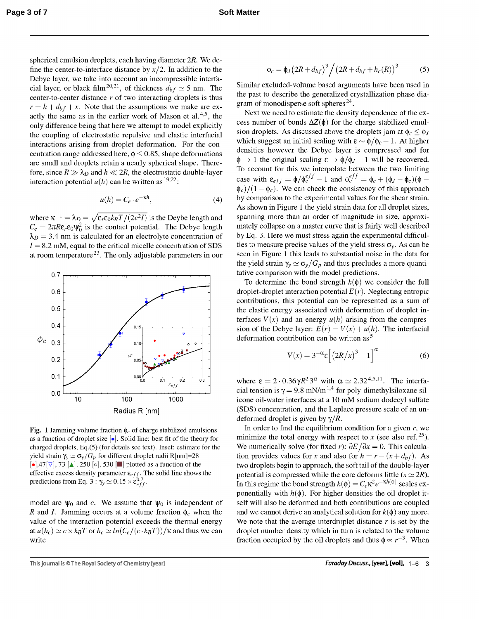spherical emulsion droplets, each having diameter  $2R$ . We define the center-to-interface distance by  $x/2$ . In addition to the Debye layer, we take into account an incompressible interfacial layer, or black film<sup>20,21</sup>, of thickness  $d_{bf} \simeq 5$  nm. The center-to-center distance  $r$  of two interacting droplets is thus  $r = h + d_{bf} + x$ . Note that the assumptions we make are exactly the same as in the earlier work of Mason et al.<sup>4,5</sup>, the only difference being that here we attempt to model explicitly the coupling of electrostatic repulsive and elastic interfacial interactions arising from droplet deformation. For the concentration range addressed here,  $\phi \le 0.85$ , shape deformations are small and droplets retain a nearly spherical shape. Therefore, since  $R \gg \lambda_D$  and  $h \ll 2R$ , the electrostatic double-layer interaction potential  $u(h)$  can be written as <sup>19,22</sup>:

$$
u(h) = C_e \cdot e^{-\kappa h},\tag{4}
$$

where  $\kappa^{-1} = \lambda_D = \sqrt{\varepsilon_r \varepsilon_0 k_B T / (2e^2 I)}$  is the Deybe length and  $C_e = 2\pi R \varepsilon_r \varepsilon_0 \psi_0^2$  is the contact potential. The Debye length  $\lambda_D = 3.4$  nm is calculated for an electrolyte concentration of  $I = 8.2$  mM, equal to the critical micelle concentration of SDS at room temperature<sup>23</sup>. The only adjustable parameters in our



Fig. 1 Jamming volume fraction  $\phi_c$  of charge stabilized emulsions as a function of droplet size  $[\bullet]$ . Solid line: best fit of the theory for charged droplets, Eq.(5) (for details see text). Inset: estimate for the yield strain  $\gamma_y \simeq \sigma_y/G_p$  for different droplet radii R[nm]=28  $\left[\bullet\right],47\left[\triangledown\right],73\left[\triangle\right],250\left[\circ\right],530\left[\blacksquare\right]$  plotted as a function of the effective excess density parameter  $\varepsilon_{eff}$ . The solid line shows the predictions from Eq. 3 :  $\gamma_y \simeq 0.15 \times \epsilon_{eff}^{0.7}$ .

model are  $\psi_0$  and c. We assume that  $\psi_0$  is independent of R and I. Jamming occurs at a volume fraction  $\phi_c$  when the value of the interaction potential exceeds the thermal energy at  $u(h_c) \simeq c \times k_B T$  or  $h_c \simeq ln(C_e/(c \cdot k_B T))/\kappa$  and thus we can write

$$
\phi_c = \phi_J (2R + d_{bf})^3 / (2R + d_{bf} + h_c(R))^3
$$
 (5)

Similar excluded-volume based arguments have been used in the past to describe the generalized crystallization phase diagram of monodisperse soft spheres<sup>24</sup>.

Next we need to estimate the density dependence of the excess number of bonds  $\Delta Z(\phi)$  for the charge stabilized emulsion droplets. As discussed above the droplets jam at  $\phi_c \leq \phi_J$ which suggest an initial scaling with  $\varepsilon \sim \phi/\phi_c - 1$ . At higher densities however the Debye layer is compressed and for  $\phi \rightarrow 1$  the original scaling  $\varepsilon \rightarrow \phi/\phi_J - 1$  will be recovered. To account for this we interpolate between the two limiting case with  $\varepsilon_{eff} = \phi/\phi_c^{eff} - 1$  and  $\phi_c^{eff} = \phi_c + (\phi_J - \phi_c)(\phi (\phi_c)/(1-\phi_c)$ . We can check the consistency of this approach by comparison to the experimental values for the shear strain. As shown in Figure 1 the yield strain data for all droplet sizes, spanning more than an order of magnitude in size, approximately collapse on a master curve that is fairly well described by Eq. 3. Here we must stress again the experimental difficulties to measure precise values of the yield stress  $\sigma_{y}$ . As can be seen in Figure 1 this leads to substantial noise in the data for the yield strain  $\gamma_v \simeq \sigma_v/G_p$  and thus precludes a more quantitative comparison with the model predictions.

To determine the bond strength  $k(\phi)$  we consider the full droplet-droplet interaction potential  $E(r)$ . Neglecting entropic contributions, this potential can be represented as a sum of the elastic energy associated with deformation of droplet interfaces  $V(x)$  and an energy  $u(h)$  arising from the compression of the Debye layer:  $E(r) = V(x) + u(h)$ . The interfacial deformation contribution can be written as  $5$ 

$$
V(x) = 3^{-\alpha} \varepsilon \left[ \left( 2R/x \right)^3 - 1 \right]^{\alpha} \tag{6}
$$

where  $\epsilon = 2 \cdot 0.36 \gamma R^2 3^{\alpha}$  with  $\alpha \simeq 2.32^{4,5,11}$ . The interfacial tension is  $\gamma = 9.8$  mN/m<sup>1,4</sup> for poly-dimethylsiloxane silicone oil-water interfaces at a 10 mM sodium dodecyl sulfate (SDS) concentration, and the Laplace pressure scale of an undeformed droplet is given by  $\gamma/R$ .

In order to find the equilibrium condition for a given  $r$ , we minimize the total energy with respect to x (see also ref.<sup>25</sup>). We numerically solve (for fixed r):  $\partial E / \partial x = 0$ . This calculation provides values for x and also for  $h = r - (x + d_{bf})$ . As two droplets begin to approach, the soft tail of the double-layer potential is compressed while the core deforms little  $(x \approx 2R)$ . In this regime the bond strength  $k(\phi) = C_e \kappa^2 e^{-\kappa h(\phi)}$  scales exponentially with  $h(\phi)$ . For higher densities the oil droplet itself will also be deformed and both contributions are coupled and we cannot derive an analytical solution for  $k(\phi)$  any more. We note that the average interdroplet distance  $r$  is set by the droplet number density which in turn is related to the volume fraction occupied by the oil droplets and thus  $\phi \propto r^{-3}$ . When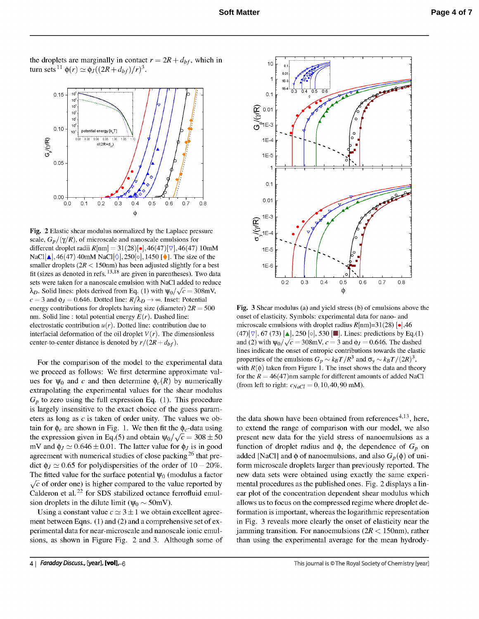the droplets are marginally in contact  $r = 2R + d_{bf}$ , which in turn sets<sup>11</sup>  $\phi(r) \simeq \phi_J((2R+d_{bf})/r)^3$ .



Fig. 2 Elastic shear modulus normalized by the Laplace pressure scale,  $G_p/(\gamma/R)$ , of microscale and nanoscale emulsions for different droplet radii  $R[\text{nm}] = 31(28)[\bullet]$ , 46(47) $[\triangledown]$ , 46(47) 10mM NaCl[ $\triangle$ ], 46(47) 40mM NaCl[ $\Diamond$ ], 250[ $\circ$ ], 1450 [ $\Diamond$ ]. The size of the smaller droplets ( $2R < 150$ nm) has been adjusted slightly for a best fit (sizes as denoted in refs.  $13,18$  are given in parentheses). Two data sets were taken for a nanoscale emulsion with NaCl added to reduce  $\lambda_D$ . Solid lines: plots derived from Eq. (1) with  $\Psi_0/\sqrt{c} = 308$ mV,  $c = 3$  and  $\phi_J = 0.646$ . Dotted line:  $R/\lambda_D \rightarrow \infty$ . Inset: Potential energy contributions for droplets having size (diameter)  $2R = 500$ nm. Solid line : total potential energy  $E(r)$ . Dashed line: electrostatic contribution  $u(r)$ . Dotted line: contribution due to interfacial deformation of the oil droplet  $V(r)$ . The dimensionless center-to-center distance is denoted by  $r/(2R+d_{bf})$ .

For the comparison of the model to the experimental data we proceed as follows: We first determine approximate values for  $\Psi_0$  and c and then determine  $\phi_c(R)$  by numerically extrapolating the experimental values for the shear modulus  $G_p$  to zero using the full expression Eq. (1). This procedure is largely insensitive to the exact choice of the guess parameters as long as  $c$  is taken of order unity. The values we obtain for  $\phi_c$  are shown in Fig. 1. We then fit the  $\phi_c$ -data using the expression given in Eq.(5) and obtain  $\Psi_0/\sqrt{c} = 308 \pm 50$ mV and  $\phi_J \simeq 0.646 \pm 0.01$ . The latter value for  $\phi_J$  is in good agreement with numerical studies of close packing  $2<sup>6</sup>$  that predict  $\phi_J \simeq 0.65$  for polydispersities of the order of  $10 - 20\%$ . The fitted value for the surface potential  $\Psi_0$  (modulus a factor  $\sqrt{c}$  of order one) is higher compared to the value reported by Calderon et al.<sup>22</sup> for SDS stabilized octance ferrofluid emulsion droplets in the dilute limit ( $\psi_0 \sim 50$ mV).

Using a constant value  $c \approx 3 \pm 1$  we obtain excellent agreement between Eqns. (1) and (2) and a comprehensive set of experimental data for near-microscale and nanoscale ionic emulsions, as shown in Figure Fig. 2 and 3. Although some of



Fig. 3 Shear modulus (a) and yield stress (b) of emulsions above the onset of elasticity. Symbols: experimental data for nano- and microscale emulsions with droplet radius  $R$ [nm]=31(28) [•],46  $(47) [\nabla]$ , 67 (73) [ $\triangle$ ], 250 [ $\circ$ ], 530 [ $\square$ ]. Lines: predictions by Eq.(1) and (2) with  $\Psi_0/\sqrt{c} = 308$  mV,  $c = 3$  and  $\phi_J = 0.646$ . The dashed lines indicate the onset of entropic contributions towards the elastic properties of the emulsions  $G_p \sim k_B T/R^3$  and  $\sigma_y \sim k_B T/(2R)^3$ , with  $R(\phi)$  taken from Figure 1. The inset shows the data and theory for the  $R = 46(47)$ nm sample for different amounts of added NaCl (from left to right:  $c_{NaCl} = 0, 10, 40, 90$  mM).

the data shown have been obtained from references<sup>4,13</sup>, here, to extend the range of comparison with our model, we also present new data for the yield stress of nanoemulsions as a function of droplet radius and  $\phi$ , the dependence of  $G_p$  on added [NaCl] and  $\phi$  of nanoemulsions, and also  $G_p(\phi)$  of uniform microscale droplets larger than previously reported. The new data sets were obtained using exactly the same experimental procedures as the published ones. Fig. 2 displays a linear plot of the concentration dependent shear modulus which allows us to focus on the compressed regime where droplet deformation is important, whereas the logarithmic representation in Fig. 3 reveals more clearly the onset of elasticity near the jamming transition. For nanoemulsions ( $2R < 150$ nm), rather than using the experimental average for the mean hydrody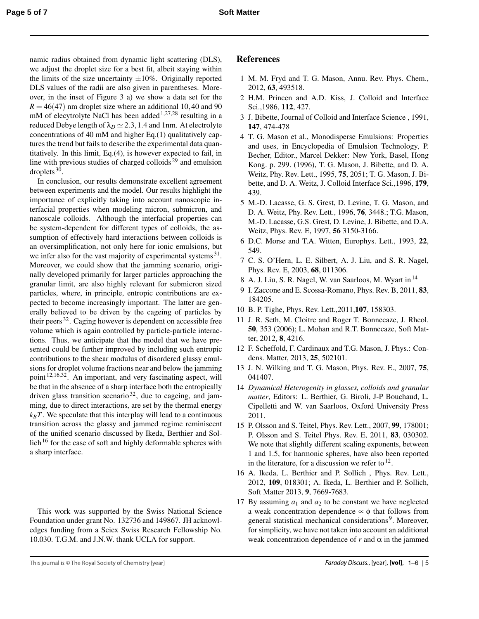namic radius obtained from dynamic light scattering (DLS), we adjust the droplet size for a best fit, albeit staying within the limits of the size uncertainty  $\pm 10\%$ . Originally reported DLS values of the radii are also given in parentheses. Moreover, in the inset of Figure 3 a) we show a data set for the  $R = 46(47)$  nm droplet size where an additional 10,40 and 90 mM of elecytrolyte NaCl has been added  $1,27,28$  resulting in a reduced Debye length of  $\lambda_D \simeq 2.3, 1.4$  and 1nm. At electrolyte concentrations of 40 mM and higher Eq.(1) qualitatively captures the trend but fails to describe the experimental data quantitatively. In this limit, Eq.(4), is however expected to fail, in line with previous studies of charged colloids  $29$  and emulsion droplets<sup>30</sup>.

In conclusion, our results demonstrate excellent agreement between experiments and the model. Our results highlight the importance of explicitly taking into account nanoscopic interfacial properties when modeling micron, submicron, and nanoscale colloids. Although the interfacial properties can be system-dependent for different types of colloids, the assumption of effectively hard interactions between colloids is an oversimplification, not only here for ionic emulsions, but we infer also for the vast majority of experimental systems<sup>31</sup>. Moreover, we could show that the jamming scenario, originally developed primarily for larger particles approaching the granular limit, are also highly relevant for submicron sized particles, where, in principle, entropic contributions are expected to become increasingly important. The latter are generally believed to be driven by the cageing of particles by their peers <sup>32</sup>. Caging however is dependent on accessible free volume which is again controlled by particle-particle interactions. Thus, we anticipate that the model that we have presented could be further improved by including such entropic contributions to the shear modulus of disordered glassy emulsions for droplet volume fractions near and below the jamming point 12,16,32. An important, and very fascinating aspect, will be that in the absence of a sharp interface both the entropically driven glass transition scenario<sup>32</sup>, due to cageing, and jamming, due to direct interactions, are set by the thermal energy  $k_B T$ . We speculate that this interplay will lead to a continuous transition across the glassy and jammed regime reminiscent of the unified scenario discussed by Ikeda, Berthier and Sollich<sup>16</sup> for the case of soft and highly deformable spheres with a sharp interface.

This work was supported by the Swiss National Science Foundation under grant No. 132736 and 149867. JH acknowledges funding from a Sciex Swiss Research Fellowship No. 10.030. T.G.M. and J.N.W. thank UCLA for support.

## References

- 1 M. M. Fryd and T. G. Mason, Annu. Rev. Phys. Chem., 2012, 63, 493518.
- 2 H.M. Princen and A.D. Kiss, J. Colloid and Interface Sci.,1986, 112, 427.
- 3 J. Bibette, Journal of Colloid and Interface Science , 1991, 147, 474-478
- 4 T. G. Mason et al., Monodisperse Emulsions: Properties and uses, in Encyclopedia of Emulsion Technology, P. Becher, Editor., Marcel Dekker: New York, Basel, Hong Kong. p. 299. (1996), T. G. Mason, J. Bibette, and D. A. Weitz, Phy. Rev. Lett., 1995, 75, 2051; T. G. Mason, J. Bibette, and D. A. Weitz, J. Colloid Interface Sci.,1996, 179, 439.
- 5 M.-D. Lacasse, G. S. Grest, D. Levine, T. G. Mason, and D. A. Weitz, Phy. Rev. Lett., 1996, 76, 3448.; T.G. Mason, M.-D. Lacasse, G.S. Grest, D. Levine, J. Bibette, and D.A. Weitz, Phys. Rev. E, 1997, 56 3150-3166.
- 6 D.C. Morse and T.A. Witten, Europhys. Lett., 1993, 22, 549.
- 7 C. S. O'Hern, L. E. Silbert, A. J. Liu, and S. R. Nagel, Phys. Rev. E, 2003, 68, 011306.
- 8 A. J. Liu, S. R. Nagel, W. van Saarloos, M. Wyart in<sup>14</sup>
- 9 I. Zaccone and E. Scossa-Romano, Phys. Rev. B, 2011, 83, 184205.
- 10 B. P. Tighe, Phys. Rev. Lett.,2011,107, 158303.
- 11 J. R. Seth, M. Cloitre and Roger T. Bonnecaze, J. Rheol. 50, 353 (2006); L. Mohan and R.T. Bonnecaze, Soft Matter, 2012, 8, 4216.
- 12 F. Scheffold, F. Cardinaux and T.G. Mason, J. Phys.: Condens. Matter, 2013, 25, 502101.
- 13 J. N. Wilking and T. G. Mason, Phys. Rev. E., 2007, 75, 041407.
- 14 *Dynamical Heterogenity in glasses, colloids and granular matter*, Editors: L. Berthier, G. Biroli, J-P Bouchaud, L. Cipelletti and W. van Saarloos, Oxford University Press 2011.
- 15 P. Olsson and S. Teitel, Phys. Rev. Lett., 2007, 99, 178001; P. Olsson and S. Teitel Phys. Rev. E, 2011, 83, 030302. We note that slightly different scaling exponents, between 1 and 1.5, for harmonic spheres, have also been reported in the literature, for a discussion we refer to  $12$ .
- 16 A. Ikeda, L. Berthier and P. Sollich , Phys. Rev. Lett., 2012, 109, 018301; A. Ikeda, L. Berthier and P. Sollich, Soft Matter 2013, 9, 7669-7683.
- 17 By assuming  $a_1$  and  $a_2$  to be constant we have neglected a weak concentration dependence  $\sim \phi$  that follows from general statistical mechanical considerations<sup>9</sup>. Moreover, for simplicity, we have not taken into account an additional weak concentration dependence of  $r$  and  $\alpha$  in the jammed

This journal is © The Royal Society of Chemistry [year]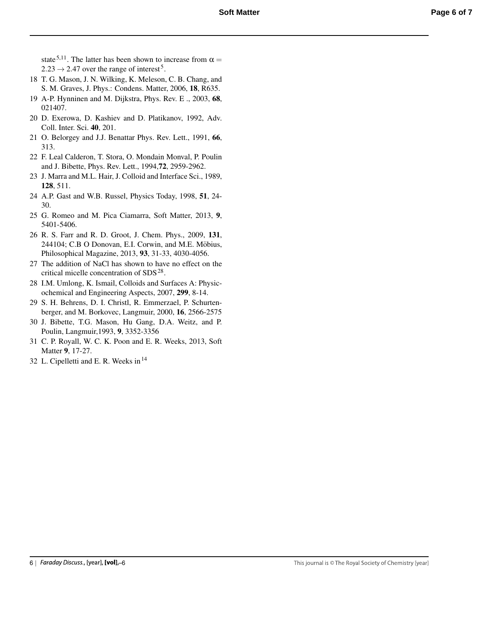state 5,11. The latter has been shown to increase from  $\alpha =$  $2.23 \rightarrow 2.47$  over the range of interest<sup>5</sup>.

- 18 T. G. Mason, J. N. Wilking, K. Meleson, C. B. Chang, and S. M. Graves, J. Phys.: Condens. Matter, 2006, 18, R635.
- 19 A-P. Hynninen and M. Dijkstra, Phys. Rev. E ., 2003, 68, 021407.
- 20 D. Exerowa, D. Kashiev and D. Platikanov, 1992, Adv. Coll. Inter. Sci. 40, 201.
- 21 O. Belorgey and J.J. Benattar Phys. Rev. Lett., 1991, 66, 313.
- 22 F. Leal Calderon, T. Stora, O. Mondain Monval, P. Poulin and J. Bibette, Phys. Rev. Lett., 1994,72, 2959-2962.
- 23 J. Marra and M.L. Hair, J. Colloid and Interface Sci., 1989, 128, 511.
- 24 A.P. Gast and W.B. Russel, Physics Today, 1998, 51, 24- 30.
- 25 G. Romeo and M. Pica Ciamarra, Soft Matter, 2013, 9, 5401-5406.
- 26 R. S. Farr and R. D. Groot, J. Chem. Phys., 2009, 131, 244104; C.B O Donovan, E.I. Corwin, and M.E. Möbius, Philosophical Magazine, 2013, 93, 31-33, 4030-4056.
- 27 The addition of NaCl has shown to have no effect on the critical micelle concentration of  $SDS<sup>28</sup>$ .
- 28 I.M. Umlong, K. Ismail, Colloids and Surfaces A: Physicochemical and Engineering Aspects, 2007, 299, 8-14.
- 29 S. H. Behrens, D. I. Christl, R. Emmerzael, P. Schurtenberger, and M. Borkovec, Langmuir, 2000, 16, 2566-2575
- 30 J. Bibette, T.G. Mason, Hu Gang, D.A. Weitz, and P. Poulin, Langmuir,1993, 9, 3352-3356
- 31 C. P. Royall, W. C. K. Poon and E. R. Weeks, 2013, Soft Matter 9, 17-27.
- 32 L. Cipelletti and E. R. Weeks in <sup>14</sup>